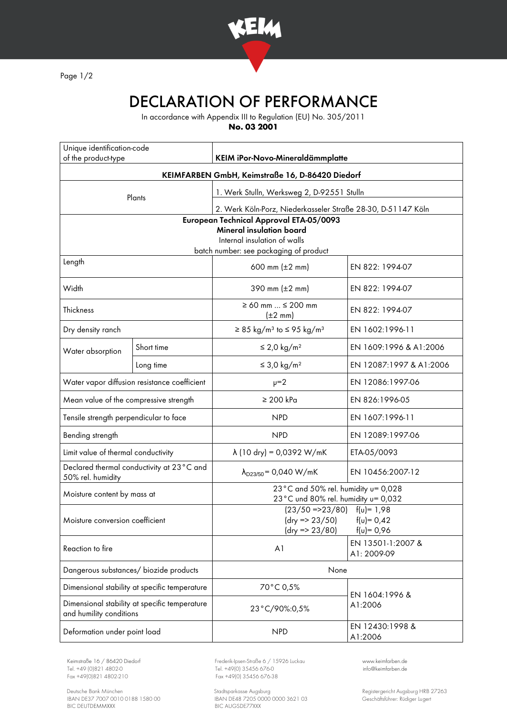

Page 1/2

## DECLARATION OF PERFORMANCE

In accordance with Appendix III to Regulation (EU) No. 305/2011

**No. 03 2001**

| Unique identification-code<br>of the product-type                        |            | KEIM iPor-Novo-Mineraldämmplatte                                                                        |                                  |
|--------------------------------------------------------------------------|------------|---------------------------------------------------------------------------------------------------------|----------------------------------|
| KEIMFARBEN GmbH, Keimstraße 16, D-86420 Diedorf                          |            |                                                                                                         |                                  |
| Plants                                                                   |            |                                                                                                         |                                  |
|                                                                          |            | 1. Werk Stulln, Werksweg 2, D-92551 Stulln                                                              |                                  |
|                                                                          |            | 2. Werk Köln-Porz, Niederkasseler Straße 28-30, D-51147 Köln<br>European Technical Approval ETA-05/0093 |                                  |
| <b>Mineral insulation board</b>                                          |            |                                                                                                         |                                  |
| Internal insulation of walls<br>batch number: see packaging of product   |            |                                                                                                         |                                  |
| Length                                                                   |            | 600 mm $(\pm 2 \, \text{mm})$                                                                           | EN 822: 1994-07                  |
| Width                                                                    |            | 390 mm $(\pm 2 \, \text{mm})$                                                                           | EN 822: 1994-07                  |
| Thickness                                                                |            | $\geq 60$ mm $\leq 200$ mm<br>$(\pm 2 \text{ mm})$                                                      | EN 822: 1994-07                  |
| Dry density ranch                                                        |            | $\geq$ 85 kg/m <sup>3</sup> to $\leq$ 95 kg/m <sup>3</sup>                                              | EN 1602:1996-11                  |
| Water absorption                                                         | Short time | ≤ 2,0 kg/m <sup>2</sup>                                                                                 | EN 1609:1996 & A1:2006           |
|                                                                          | Long time  | $\leq$ 3,0 kg/m <sup>2</sup>                                                                            | EN 12087:1997 & A1:2006          |
| Water vapor diffusion resistance coefficient                             |            | $\nu = 2$                                                                                               | EN 12086:1997-06                 |
| Mean value of the compressive strength                                   |            | $\geq 200$ kPa                                                                                          | EN 826:1996-05                   |
| Tensile strength perpendicular to face                                   |            | <b>NPD</b>                                                                                              | EN 1607:1996-11                  |
| Bending strength                                                         |            | <b>NPD</b>                                                                                              | EN 12089:1997-06                 |
| Limit value of thermal conductivity                                      |            | $\lambda$ (10 dry) = 0,0392 W/mK                                                                        | ETA-05/0093                      |
| Declared thermal conductivity at 23°C and<br>50% rel. humidity           |            | $\lambda_{D23/50}$ = 0,040 W/mK                                                                         | EN 10456:2007-12                 |
| Moisture content by mass at                                              |            | 23°C and 50% rel. humidity u= 0,028<br>23°C und 80% rel. humidity u= 0,032                              |                                  |
| Moisture conversion coefficient                                          |            | $(23/50 = 23/80)$ $f(u) = 1.98$<br>$(dry = 23/50)$<br>$f(v) = 0,42$<br>$(dry = 23/80)$<br>$f(u) = 0,96$ |                                  |
| Reaction to fire                                                         |            | A <sub>1</sub>                                                                                          | EN 13501-1:2007 &<br>A1: 2009-09 |
| Dangerous substances/ biozide products                                   |            | None                                                                                                    |                                  |
| Dimensional stability at specific temperature                            |            | 70°C 0,5%                                                                                               | EN 1604:1996 &<br>A1:2006        |
| Dimensional stability at specific temperature<br>and humility conditions |            | 23°C/90%:0,5%                                                                                           |                                  |
| Deformation under point load                                             |            | <b>NPD</b>                                                                                              | EN 12430:1998 &<br>A1:2006       |

Tel. +49 (0)821 4802-0 Tel. +49 (0) 35456 676-0 Fox +49 (0) 821 4802-0 info@ex +49 (0) 35456 676-38

Deutsche Bank München Stadtsparkasse Augsburg Registergericht Augsburg HRB 27263 IBAN DE37 7007 0010 0188 1580 00 IBAN DE48 7205 0000 0000 3621 03 Geschäftsführer: Rüdiger Lugert BIC DEUTDEMMXXX BIC AUGSDE77XXX

Keimstraße 16 / 86420 Diedorf Frederik-Ipsen-Straße 6 / 15926 Luckau [www.keimfarben.de](http://www.keimfarben.de/)  $Fax + 49(0)35456676-38$